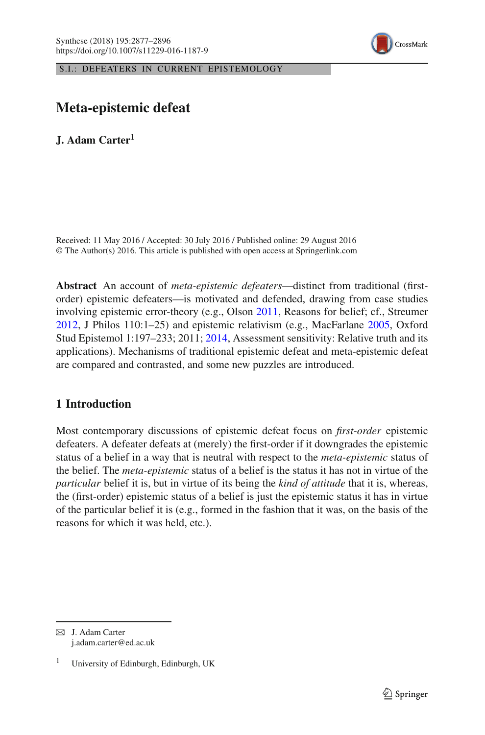

S.I.: DEFEATERS IN CURRENT EPISTEMOLOGY

# **Meta-epistemic defeat**

**J. Adam Carter<sup>1</sup>**

Received: 11 May 2016 / Accepted: 30 July 2016 / Published online: 29 August 2016 © The Author(s) 2016. This article is published with open access at Springerlink.com

**Abstract** An account of *meta-epistemic defeaters*—distinct from traditional (firstorder) epistemic defeaters—is motivated and defended, drawing from case studies involving epistemic error-theory (e.g., Olson [2011,](#page-18-0) Reasons for belief; cf., Streumer [2012,](#page-19-0) J Philos 110:1–25) and epistemic relativism (e.g., MacFarlane [2005,](#page-18-1) Oxford Stud Epistemol 1:197–233; 2011; [2014,](#page-18-2) Assessment sensitivity: Relative truth and its applications). Mechanisms of traditional epistemic defeat and meta-epistemic defeat are compared and contrasted, and some new puzzles are introduced.

## **1 Introduction**

Most contemporary discussions of epistemic defeat focus on *first-order* epistemic defeaters. A defeater defeats at (merely) the first-order if it downgrades the epistemic status of a belief in a way that is neutral with respect to the *meta-epistemic* status of the belief. The *meta-epistemic* status of a belief is the status it has not in virtue of the *particular* belief it is, but in virtue of its being the *kind of attitude* that it is, whereas, the (first-order) epistemic status of a belief is just the epistemic status it has in virtue of the particular belief it is (e.g., formed in the fashion that it was, on the basis of the reasons for which it was held, etc.).

 $\boxtimes$  J. Adam Carter j.adam.carter@ed.ac.uk

<sup>1</sup> University of Edinburgh, Edinburgh, UK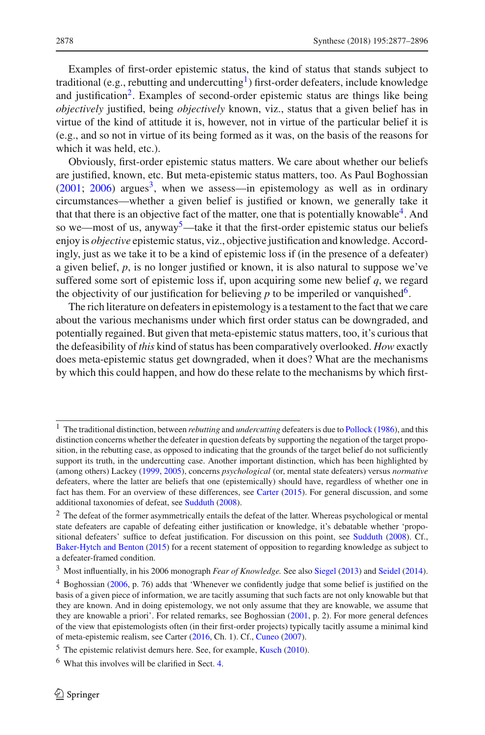Examples of first-order epistemic status, the kind of status that stands subject to traditional (e.g., rebutting and undercutting<sup>1</sup>) first-order defeaters, include knowledge and justification<sup>2</sup>. Examples of second-order epistemic status are things like being *objectively* justified, being *objectively* known, viz., status that a given belief has in virtue of the kind of attitude it is, however, not in virtue of the particular belief it is (e.g., and so not in virtue of its being formed as it was, on the basis of the reasons for which it was held, etc.).

Obviously, first-order epistemic status matters. We care about whether our beliefs are justified, known, etc. But meta-epistemic status matters, too. As Paul Boghossian  $(2001; 2006)$  $(2001; 2006)$  $(2001; 2006)$  $(2001; 2006)$  argues<sup>[3](#page-1-2)</sup>, when we assess—in epistemology as well as in ordinary circumstances—whether a given belief is justified or known, we generally take it that that there is an objective fact of the matter, one that is potentially knowable<sup>[4](#page-1-3)</sup>. And so we—most of us, anyway<sup>5</sup>—take it that the first-order epistemic status our beliefs enjoy is *objective* epistemic status, viz., objective justification and knowledge. Accordingly, just as we take it to be a kind of epistemic loss if (in the presence of a defeater) a given belief, *p*, is no longer justified or known, it is also natural to suppose we've suffered some sort of epistemic loss if, upon acquiring some new belief *q*, we regard the objectivity of our justification for believing  $p$  to be imperiled or vanquished<sup>6</sup>.

The rich literature on defeaters in epistemology is a testament to the fact that we care about the various mechanisms under which first order status can be downgraded, and potentially regained. But given that meta-epistemic status matters, too, it's curious that the defeasibility of *this* kind of status has been comparatively overlooked. *How* exactly does meta-epistemic status get downgraded, when it does? What are the mechanisms by which this could happen, and how do these relate to the mechanisms by which first-

<span id="page-1-0"></span><sup>&</sup>lt;sup>1</sup> The traditional distinction, between *rebutting* and *undercutting* defeaters is due to [Pollock](#page-18-3) [\(1986\)](#page-18-3), and this distinction concerns whether the defeater in question defeats by supporting the negation of the target proposition, in the rebutting case, as opposed to indicating that the grounds of the target belief do not sufficiently support its truth, in the undercutting case. Another important distinction, which has been highlighted by (among others) Lackey [\(1999,](#page-18-4) [2005\)](#page-18-5), concerns *psychological* (or, mental state defeaters) versus *normative* defeaters, where the latter are beliefs that one (epistemically) should have, regardless of whether one in fact has them. For an overview of these differences, see [Carter](#page-17-2) [\(2015\)](#page-17-2). For general discussion, and some additional taxonomies of defeat, see [Sudduth](#page-19-1) [\(2008\)](#page-19-1).

<span id="page-1-1"></span><sup>&</sup>lt;sup>2</sup> The defeat of the former asymmetrically entails the defeat of the latter. Whereas psychological or mental state defeaters are capable of defeating either justification or knowledge, it's debatable whether 'propositional defeaters' suffice to defeat justification. For discussion on this point, see [Sudduth](#page-19-1) [\(2008](#page-19-1)). Cf., [Baker-Hytch and Benton](#page-17-3) [\(2015\)](#page-17-3) for a recent statement of opposition to regarding knowledge as subject to a defeater-framed condition.

<sup>3</sup> Most influentially, in his 2006 monograph *Fear of Knowledge.* See also [Siegel](#page-18-6) [\(2013](#page-18-6)) and [Seidel](#page-18-7) [\(2014](#page-18-7)).

<span id="page-1-3"></span><span id="page-1-2"></span><sup>4</sup> Boghossian [\(2006,](#page-17-1) p. 76) adds that 'Whenever we confidently judge that some belief is justified on the basis of a given piece of information, we are tacitly assuming that such facts are not only knowable but that they are known. And in doing epistemology, we not only assume that they are knowable, we assume that they are knowable a priori'. For related remarks, see Boghossian [\(2001](#page-17-0), p. 2). For more general defences of the view that epistemologists often (in their first-order projects) typically tacitly assume a minimal kind of meta-epistemic realism, see Carter [\(2016](#page-18-8), Ch. 1). Cf., [Cuneo](#page-18-9) [\(2007](#page-18-9)).

<sup>5</sup> The epistemic relativist demurs here. See, for example, [Kusch](#page-18-10) [\(2010\)](#page-18-10).

<span id="page-1-5"></span><span id="page-1-4"></span><sup>6</sup> What this involves will be clarified in Sect. [4.](#page-11-0)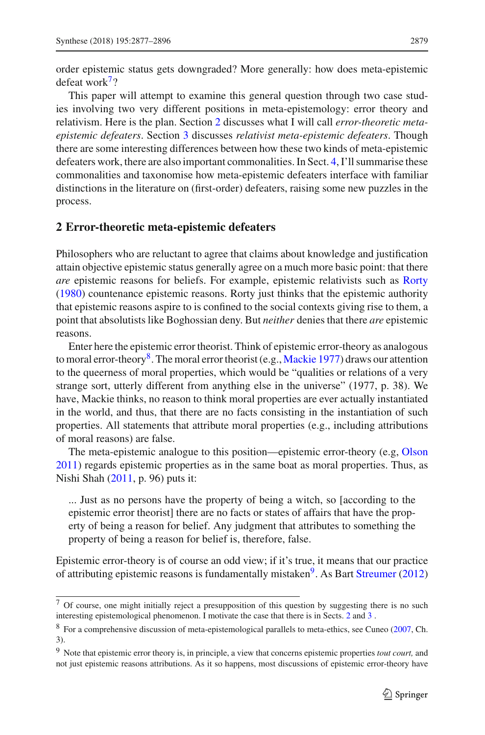order epistemic status gets downgraded? More generally: how does meta-epistemic defeat work $7$ ?

This paper will attempt to examine this general question through two case studies involving two very different positions in meta-epistemology: error theory and relativism. Here is the plan. Section [2](#page-2-1) discusses what I will call *error-theoretic metaepistemic defeaters*. Section [3](#page-8-0) discusses *relativist meta-epistemic defeaters*. Though there are some interesting differences between how these two kinds of meta-epistemic defeaters work, there are also important commonalities. In Sect. [4,](#page-11-0) I'll summarise these commonalities and taxonomise how meta-epistemic defeaters interface with familiar distinctions in the literature on (first-order) defeaters, raising some new puzzles in the process.

#### <span id="page-2-1"></span>**2 Error-theoretic meta-epistemic defeaters**

Philosophers who are reluctant to agree that claims about knowledge and justification attain objective epistemic status generally agree on a much more basic point: that there *are* epistemic reasons for beliefs. For example, epistemic relativists such as [Rorty](#page-18-11) [\(1980\)](#page-18-11) countenance epistemic reasons. Rorty just thinks that the epistemic authority that epistemic reasons aspire to is confined to the social contexts giving rise to them, a point that absolutists like Boghossian deny. But *neither* denies that there *are* epistemic reasons.

Enter here the epistemic error theorist. Think of epistemic error-theory as analogous to moral error-theory<sup>8</sup>. The moral error theorist (e.g., [Mackie 1977](#page-18-12)) draws our attention to the queerness of moral properties, which would be "qualities or relations of a very strange sort, utterly different from anything else in the universe" (1977, p. 38). We have, Mackie thinks, no reason to think moral properties are ever actually instantiated in the world, and thus, that there are no facts consisting in the instantiation of such properties. All statements that attribute moral properties (e.g., including attributions of moral reasons) are false.

The meta-epistemic analogue to this position—epistemic error-theory (e.g, [Olson](#page-18-0) [2011\)](#page-18-0) regards epistemic properties as in the same boat as moral properties. Thus, as Nishi Shah [\(2011](#page-18-13), p. 96) puts it:

... Just as no persons have the property of being a witch, so [according to the epistemic error theorist] there are no facts or states of affairs that have the property of being a reason for belief. Any judgment that attributes to something the property of being a reason for belief is, therefore, false.

Epistemic error-theory is of course an odd view; if it's true, it means that our practice of attributing epistemic reasons is fundamentally mistaken<sup>9</sup>. As Bart [Streumer](#page-19-0) [\(2012\)](#page-19-0)

<span id="page-2-0"></span><sup>7</sup> Of course, one might initially reject a presupposition of this question by suggesting there is no such interesting epistemological phenomenon. I motivate the case that there is in Sects. [2](#page-2-1) and [3](#page-8-0) .

<span id="page-2-2"></span><sup>8</sup> For a comprehensive discussion of meta-epistemological parallels to meta-ethics, see Cuneo [\(2007,](#page-18-9) Ch. 3).

<span id="page-2-3"></span><sup>9</sup> Note that epistemic error theory is, in principle, a view that concerns epistemic properties *tout court,* and not just epistemic reasons attributions. As it so happens, most discussions of epistemic error-theory have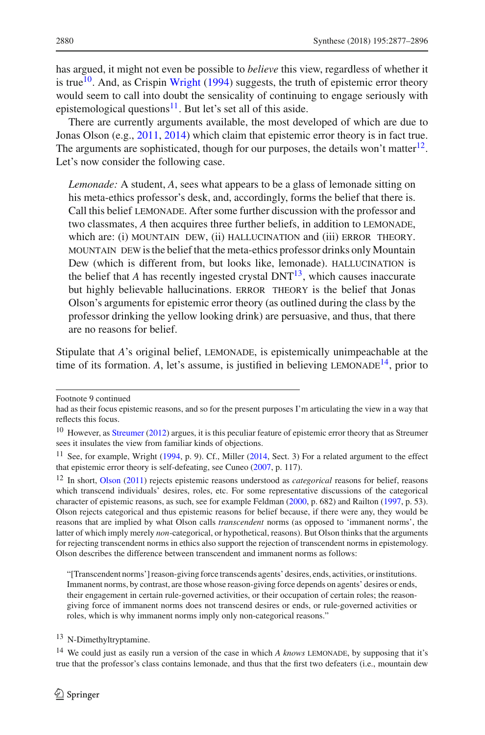has argued, it might not even be possible to *believe* this view, regardless of whether it is true<sup>10</sup>. And, as Crispin [Wright](#page-19-2) [\(1994\)](#page-19-2) suggests, the truth of epistemic error theory would seem to call into doubt the sensicality of continuing to engage seriously with epistemological questions $^{11}$  $^{11}$  $^{11}$ . But let's set all of this aside.

There are currently arguments available, the most developed of which are due to Jonas Olson (e.g., [2011](#page-18-0), [2014\)](#page-18-14) which claim that epistemic error theory is in fact true. The arguments are sophisticated, though for our purposes, the details won't matter<sup>12</sup>. Let's now consider the following case.

*Lemonade:* A student, *A*, sees what appears to be a glass of lemonade sitting on his meta-ethics professor's desk, and, accordingly, forms the belief that there is. Call this belief lemonade. After some further discussion with the professor and two classmates, *A* then acquires three further beliefs, in addition to LEMONADE, which are: (i) MOUNTAIN DEW, (ii) HALLUCINATION and (iii) ERROR THEORY. mountain dew is the belief that the meta-ethics professor drinks only Mountain Dew (which is different from, but looks like, lemonade). HALLUCINATION is the belief that *A* has recently ingested crystal  $DNT<sup>13</sup>$ , which causes inaccurate but highly believable hallucinations. ERROR THEORY is the belief that Jonas Olson's arguments for epistemic error theory (as outlined during the class by the professor drinking the yellow looking drink) are persuasive, and thus, that there are no reasons for belief.

Stipulate that *A*'s original belief, LEMONADE, is epistemically unimpeachable at the time of its formation. A, let's assume, is justified in believing LEMONADE<sup>14</sup>, prior to

<sup>13</sup> N-Dimethyltryptamine.

Footnote 9 continued

had as their focus epistemic reasons, and so for the present purposes I'm articulating the view in a way that reflects this focus.

<span id="page-3-0"></span><sup>&</sup>lt;sup>10</sup> However, as [Streumer](#page-19-0) [\(2012\)](#page-19-0) argues, it is this peculiar feature of epistemic error theory that as Streumer sees it insulates the view from familiar kinds of objections.

<span id="page-3-1"></span><sup>&</sup>lt;sup>11</sup> See, for example, Wright [\(1994](#page-19-2), p. 9). Cf., Miller [\(2014](#page-18-15), Sect. 3) For a related argument to the effect that epistemic error theory is self-defeating, see Cuneo [\(2007,](#page-18-9) p. 117).

<span id="page-3-2"></span><sup>12</sup> In short, [Olson](#page-18-0) [\(2011\)](#page-18-0) rejects epistemic reasons understood as *categorical* reasons for belief, reasons which transcend individuals' desires, roles, etc. For some representative discussions of the categorical character of epistemic reasons, as such, see for example Feldman [\(2000](#page-18-16), p. 682) and Railton [\(1997,](#page-18-17) p. 53). Olson rejects categorical and thus epistemic reasons for belief because, if there were any, they would be reasons that are implied by what Olson calls *transcendent* norms (as opposed to 'immanent norms', the latter of which imply merely *non*-categorical, or hypothetical, reasons). But Olson thinks that the arguments for rejecting transcendent norms in ethics also support the rejection of transcendent norms in epistemology. Olson describes the difference between transcendent and immanent norms as follows:

<sup>&</sup>quot;[Transcendent norms'] reason-giving force transcends agents' desires, ends, activities, or institutions. Immanent norms, by contrast, are those whose reason-giving force depends on agents' desires or ends, their engagement in certain rule-governed activities, or their occupation of certain roles; the reasongiving force of immanent norms does not transcend desires or ends, or rule-governed activities or roles, which is why immanent norms imply only non-categorical reasons."

<span id="page-3-4"></span><span id="page-3-3"></span><sup>&</sup>lt;sup>14</sup> We could just as easily run a version of the case in which *A knows* LEMONADE, by supposing that it's true that the professor's class contains lemonade, and thus that the first two defeaters (i.e., mountain dew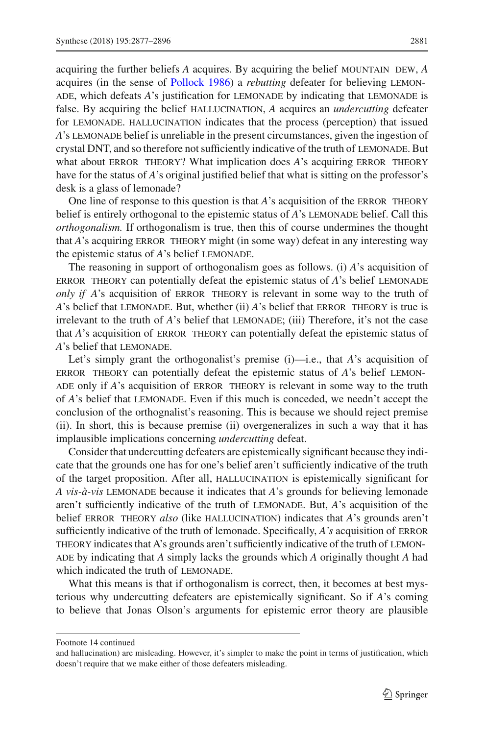acquiring the further beliefs *A* acquires. By acquiring the belief mountain dew, *A* acquires (in the sense of [Pollock 1986\)](#page-18-3) a *rebutting* defeater for believing lemonade, which defeats *A*'s justification for lemonade by indicating that lemonade is false. By acquiring the belief hallucination, *A* acquires an *undercutting* defeater for lemonade. hallucination indicates that the process (perception) that issued *A*'s LEMONADE belief is unreliable in the present circumstances, given the ingestion of crystal DNT, and so therefore not sufficiently indicative of the truth of lemonade. But what about ERROR THEORY? What implication does *A*'s acquiring ERROR THEORY have for the status of *A*'s original justified belief that what is sitting on the professor's desk is a glass of lemonade?

One line of response to this question is that *A*'s acquisition of the ERROR THEORY belief is entirely orthogonal to the epistemic status of *A*'s LEMONADE belief. Call this *orthogonalism.* If orthogonalism is true, then this of course undermines the thought that *A*'s acquiring ERROR THEORY might (in some way) defeat in any interesting way the epistemic status of *A*'s belief LEMONADE.

The reasoning in support of orthogonalism goes as follows. (i) *A*'s acquisition of error theory can potentially defeat the epistemic status of *A*'s belief lemonade *only if A*'s acquisition of ERROR THEORY is relevant in some way to the truth of *A*'s belief that LEMONADE. But, whether (ii) *A*'s belief that ERROR THEORY is true is irrelevant to the truth of *A*'s belief that LEMONADE; (iii) Therefore, it's not the case that *A*'s acquisition of ERROR THEORY can potentially defeat the epistemic status of A's belief that LEMONADE.

Let's simply grant the orthogonalist's premise (i)—i.e., that *A*'s acquisition of error theory can potentially defeat the epistemic status of *A*'s belief lemon-ADE only if *A*'s acquisition of ERROR THEORY is relevant in some way to the truth of *A*'s belief that lemonade. Even if this much is conceded, we needn't accept the conclusion of the orthognalist's reasoning. This is because we should reject premise (ii). In short, this is because premise (ii) overgeneralizes in such a way that it has implausible implications concerning *undercutting* defeat.

Consider that undercutting defeaters are epistemically significant because they indicate that the grounds one has for one's belief aren't sufficiently indicative of the truth of the target proposition. After all, hallucination is epistemically significant for *A vis-à-vis* lemonade because it indicates that *A*'s grounds for believing lemonade aren't sufficiently indicative of the truth of lemonade. But, *A*'s acquisition of the belief error theory *also* (like hallucination) indicates that *A*'s grounds aren't sufficiently indicative of the truth of lemonade. Specifically, *A's* acquisition of error THEORY indicates that A's grounds aren't sufficiently indicative of the truth of LEMON-ADE by indicating that *A* simply lacks the grounds which *A* originally thought *A* had which indicated the truth of LEMONADE.

What this means is that if orthogonalism is correct, then, it becomes at best mysterious why undercutting defeaters are epistemically significant. So if *A*'s coming to believe that Jonas Olson's arguments for epistemic error theory are plausible

Footnote 14 continued

and hallucination) are misleading. However, it's simpler to make the point in terms of justification, which doesn't require that we make either of those defeaters misleading.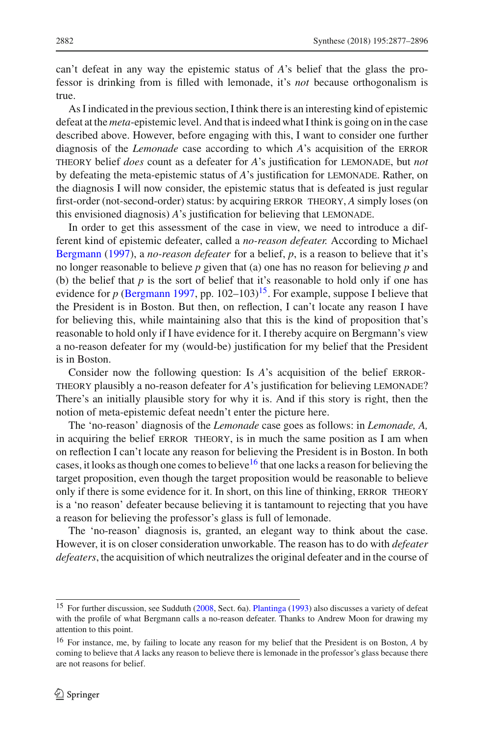can't defeat in any way the epistemic status of *A*'s belief that the glass the professor is drinking from is filled with lemonade, it's *not* because orthogonalism is true.

As I indicated in the previous section, I think there is an interesting kind of epistemic defeat at the *meta*-epistemic level. And that is indeed what I think is going on in the case described above. However, before engaging with this, I want to consider one further diagnosis of the *Lemonade* case according to which *A*'s acquisition of the error theory belief *does* count as a defeater for *A*'s justification for lemonade, but *not* by defeating the meta-epistemic status of *A*'s justification for LEMONADE. Rather, on the diagnosis I will now consider, the epistemic status that is defeated is just regular first-order (not-second-order) status: by acquiring error theory, *A* simply loses (on this envisioned diagnosis) *A*'s justification for believing that LEMONADE.

In order to get this assessment of the case in view, we need to introduce a different kind of epistemic defeater, called a *no-reason defeater.* According to Michael [Bergmann](#page-17-4) [\(1997\)](#page-17-4), a *no-reason defeater* for a belief, *p*, is a reason to believe that it's no longer reasonable to believe *p* given that (a) one has no reason for believing *p* and (b) the belief that *p* is the sort of belief that it's reasonable to hold only if one has evidence for *p* [\(Bergmann 1997,](#page-17-4) pp. 102–103)<sup>15</sup>. For example, suppose I believe that the President is in Boston. But then, on reflection, I can't locate any reason I have for believing this, while maintaining also that this is the kind of proposition that's reasonable to hold only if I have evidence for it. I thereby acquire on Bergmann's view a no-reason defeater for my (would-be) justification for my belief that the President is in Boston.

Consider now the following question: Is *A*'s acquisition of the belief error-THEORY plausibly a no-reason defeater for *A*'s justification for believing LEMONADE? There's an initially plausible story for why it is. And if this story is right, then the notion of meta-epistemic defeat needn't enter the picture here.

The 'no-reason' diagnosis of the *Lemonade* case goes as follows: in *Lemonade, A,* in acquiring the belief ERROR THEORY, is in much the same position as I am when on reflection I can't locate any reason for believing the President is in Boston. In both cases, it looks as though one comes to believe<sup>16</sup> that one lacks a reason for believing the target proposition, even though the target proposition would be reasonable to believe only if there is some evidence for it. In short, on this line of thinking, ERROR THEORY is a 'no reason' defeater because believing it is tantamount to rejecting that you have a reason for believing the professor's glass is full of lemonade.

The 'no-reason' diagnosis is, granted, an elegant way to think about the case. However, it is on closer consideration unworkable. The reason has to do with *defeater defeaters*, the acquisition of which neutralizes the original defeater and in the course of

<span id="page-5-0"></span><sup>&</sup>lt;sup>15</sup> For further discussion, see Sudduth [\(2008,](#page-19-1) Sect. 6a). [Plantinga](#page-18-18) [\(1993\)](#page-18-18) also discusses a variety of defeat with the profile of what Bergmann calls a no-reason defeater. Thanks to Andrew Moon for drawing my attention to this point.

<span id="page-5-1"></span><sup>16</sup> For instance, me, by failing to locate any reason for my belief that the President is on Boston, *A* by coming to believe that *A* lacks any reason to believe there is lemonade in the professor's glass because there are not reasons for belief.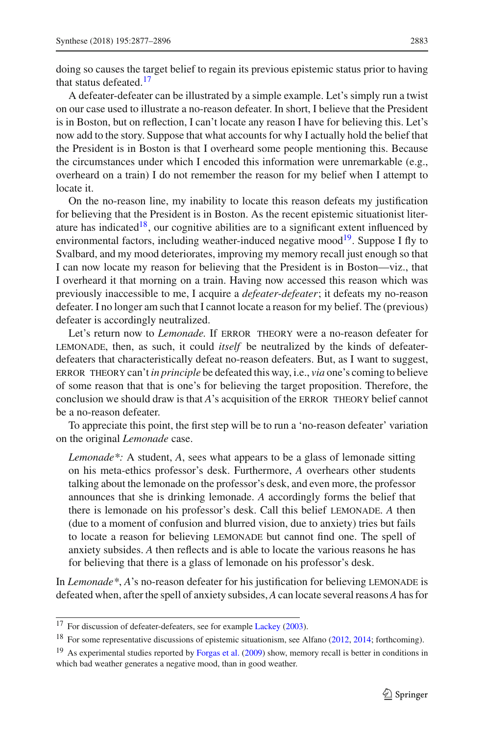doing so causes the target belief to regain its previous epistemic status prior to having that status defeated.<sup>[17](#page-6-0)</sup>

A defeater-defeater can be illustrated by a simple example. Let's simply run a twist on our case used to illustrate a no-reason defeater. In short, I believe that the President is in Boston, but on reflection, I can't locate any reason I have for believing this. Let's now add to the story. Suppose that what accounts for why I actually hold the belief that the President is in Boston is that I overheard some people mentioning this. Because the circumstances under which I encoded this information were unremarkable (e.g., overheard on a train) I do not remember the reason for my belief when I attempt to locate it.

On the no-reason line, my inability to locate this reason defeats my justification for believing that the President is in Boston. As the recent epistemic situationist literature has indicated<sup>18</sup>, our cognitive abilities are to a significant extent influenced by environmental factors, including weather-induced negative mood<sup>19</sup>. Suppose I fly to Svalbard, and my mood deteriorates, improving my memory recall just enough so that I can now locate my reason for believing that the President is in Boston—viz., that I overheard it that morning on a train. Having now accessed this reason which was previously inaccessible to me, I acquire a *defeater-defeater*; it defeats my no-reason defeater. I no longer am such that I cannot locate a reason for my belief. The (previous) defeater is accordingly neutralized.

Let's return now to *Lemonade*. If ERROR THEORY were a no-reason defeater for lemonade, then, as such, it could *itself* be neutralized by the kinds of defeaterdefeaters that characteristically defeat no-reason defeaters. But, as I want to suggest, error theory can't *in principle* be defeated this way, i.e., *via* one's coming to believe of some reason that that is one's for believing the target proposition. Therefore, the conclusion we should draw is that *A*'s acquisition of the error theory belief cannot be a no-reason defeater.

To appreciate this point, the first step will be to run a 'no-reason defeater' variation on the original *Lemonade* case.

*Lemonade\*:* A student, *A*, sees what appears to be a glass of lemonade sitting on his meta-ethics professor's desk. Furthermore, *A* overhears other students talking about the lemonade on the professor's desk, and even more, the professor announces that she is drinking lemonade. *A* accordingly forms the belief that there is lemonade on his professor's desk. Call this belief lemonade. *A* then (due to a moment of confusion and blurred vision, due to anxiety) tries but fails to locate a reason for believing lemonade but cannot find one. The spell of anxiety subsides. *A* then reflects and is able to locate the various reasons he has for believing that there is a glass of lemonade on his professor's desk.

In *Lemonade\**, *A*'s no-reason defeater for his justification for believing LEMONADE is defeated when, after the spell of anxiety subsides, *A* can locate several reasons *A* has for

<sup>&</sup>lt;sup>17</sup> For discussion of defeater-defeaters, see for example [Lackey](#page-18-19) [\(2003\)](#page-18-19).

<span id="page-6-0"></span><sup>&</sup>lt;sup>18</sup> For some representative discussions of epistemic situationism, see Alfano [\(2012,](#page-17-5) [2014](#page-17-6); forthcoming).

<span id="page-6-2"></span><span id="page-6-1"></span><sup>&</sup>lt;sup>19</sup> As experimental studies reported by [Forgas et al.](#page-18-20) [\(2009\)](#page-18-20) show, memory recall is better in conditions in which bad weather generates a negative mood, than in good weather.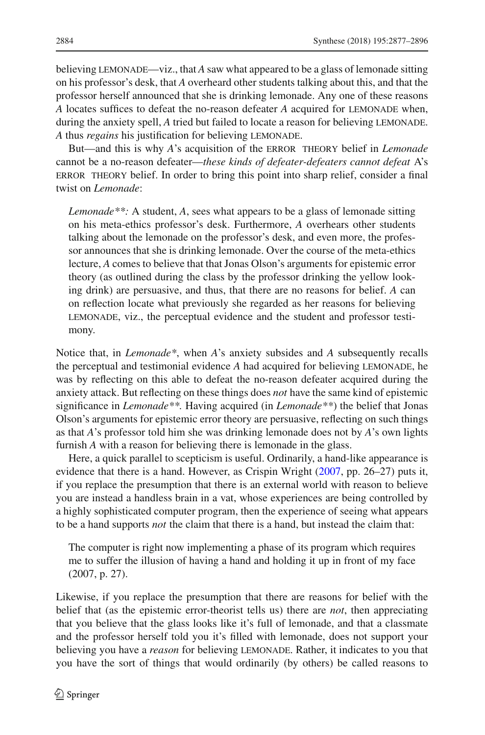believing lemonade—viz., that *A* saw what appeared to be a glass of lemonade sitting on his professor's desk, that *A* overheard other students talking about this, and that the professor herself announced that she is drinking lemonade. Any one of these reasons *A* locates suffices to defeat the no-reason defeater *A* acquired for lemonade when, during the anxiety spell, *A* tried but failed to locate a reason for believing LEMONADE. A thus *regains* his justification for believing LEMONADE.

But—and this is why *A*'s acquisition of the error theory belief in *Lemonade* cannot be a no-reason defeater—*these kinds of defeater-defeaters cannot defeat* A's error theory belief. In order to bring this point into sharp relief, consider a final twist on *Lemonade*:

*Lemonade\*\*:* A student, *A*, sees what appears to be a glass of lemonade sitting on his meta-ethics professor's desk. Furthermore, *A* overhears other students talking about the lemonade on the professor's desk, and even more, the professor announces that she is drinking lemonade. Over the course of the meta-ethics lecture, *A* comes to believe that that Jonas Olson's arguments for epistemic error theory (as outlined during the class by the professor drinking the yellow looking drink) are persuasive, and thus, that there are no reasons for belief. *A* can on reflection locate what previously she regarded as her reasons for believing lemonade, viz., the perceptual evidence and the student and professor testimony.

Notice that, in *Lemonade\**, when *A*'s anxiety subsides and *A* subsequently recalls the perceptual and testimonial evidence *A* had acquired for believing lemonade, he was by reflecting on this able to defeat the no-reason defeater acquired during the anxiety attack. But reflecting on these things does *not* have the same kind of epistemic significance in *Lemonade\*\*.* Having acquired (in *Lemonade\*\**) the belief that Jonas Olson's arguments for epistemic error theory are persuasive, reflecting on such things as that *A*'s professor told him she was drinking lemonade does not by *A*'s own lights furnish *A* with a reason for believing there is lemonade in the glass.

Here, a quick parallel to scepticism is useful. Ordinarily, a hand-like appearance is evidence that there is a hand. However, as Crispin Wright [\(2007,](#page-19-3) pp. 26–27) puts it, if you replace the presumption that there is an external world with reason to believe you are instead a handless brain in a vat, whose experiences are being controlled by a highly sophisticated computer program, then the experience of seeing what appears to be a hand supports *not* the claim that there is a hand, but instead the claim that:

The computer is right now implementing a phase of its program which requires me to suffer the illusion of having a hand and holding it up in front of my face (2007, p. 27).

Likewise, if you replace the presumption that there are reasons for belief with the belief that (as the epistemic error-theorist tells us) there are *not*, then appreciating that you believe that the glass looks like it's full of lemonade, and that a classmate and the professor herself told you it's filled with lemonade, does not support your believing you have a *reason* for believing lemonade. Rather, it indicates to you that you have the sort of things that would ordinarily (by others) be called reasons to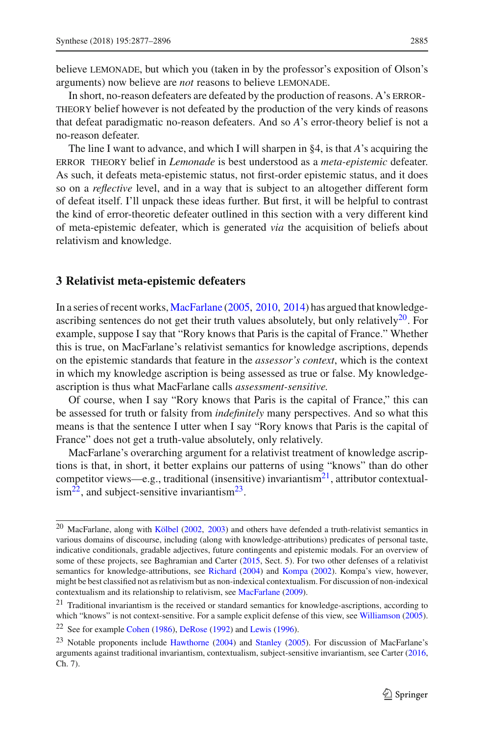believe lemonade, but which you (taken in by the professor's exposition of Olson's arguments) now believe are *not* reasons to believe lemonade.

In short, no-reason defeaters are defeated by the production of reasons. A's ERRORtheory belief however is not defeated by the production of the very kinds of reasons that defeat paradigmatic no-reason defeaters. And so *A*'s error-theory belief is not a no-reason defeater.

The line I want to advance, and which I will sharpen in §4, is that *A*'s acquiring the error theory belief in *Lemonade* is best understood as a *meta-epistemic* defeater. As such, it defeats meta-epistemic status, not first-order epistemic status, and it does so on a *reflective* level, and in a way that is subject to an altogether different form of defeat itself. I'll unpack these ideas further. But first, it will be helpful to contrast the kind of error-theoretic defeater outlined in this section with a very different kind of meta-epistemic defeater, which is generated *via* the acquisition of beliefs about relativism and knowledge.

### <span id="page-8-0"></span>**3 Relativist meta-epistemic defeaters**

In a series of recent works, [MacFarlane](#page-18-1) [\(2005](#page-18-1), [2010,](#page-18-21) [2014\)](#page-18-2) has argued that knowledgeascribing sentences do not get their truth values absolutely, but only relatively $^{20}$  $^{20}$  $^{20}$ . For example, suppose I say that "Rory knows that Paris is the capital of France." Whether this is true, on MacFarlane's relativist semantics for knowledge ascriptions, depends on the epistemic standards that feature in the *assessor's context*, which is the context in which my knowledge ascription is being assessed as true or false. My knowledgeascription is thus what MacFarlane calls *assessment-sensitive.*

Of course, when I say "Rory knows that Paris is the capital of France," this can be assessed for truth or falsity from *indefinitely* many perspectives. And so what this means is that the sentence I utter when I say "Rory knows that Paris is the capital of France" does not get a truth-value absolutely, only relatively.

MacFarlane's overarching argument for a relativist treatment of knowledge ascriptions is that, in short, it better explains our patterns of using "knows" than do other competitor views—e.g., traditional (insensitive) invariantism<sup>21</sup>, attributor contextual- $\mathrm{ism}^{22}$ , and subject-sensitive invariantism<sup>23</sup>.

<span id="page-8-1"></span><sup>&</sup>lt;sup>20</sup> MacFarlane, along with [Kölbel](#page-18-22) [\(2002,](#page-18-22) [2003](#page-18-23)) and others have defended a truth-relativist semantics in various domains of discourse, including (along with knowledge-attributions) predicates of personal taste, indicative conditionals, gradable adjectives, future contingents and epistemic modals. For an overview of some of these projects, see Baghramian and Carter [\(2015,](#page-17-7) Sect. 5). For two other defenses of a relativist semantics for knowledge-attributions, see [Richard](#page-18-24) [\(2004\)](#page-18-24) and [Kompa](#page-18-25) [\(2002\)](#page-18-25). Kompa's view, however, might be best classified not as relativism but as non-indexical contextualism. For discussion of non-indexical contextualism and its relationship to relativism, see [MacFarlane](#page-18-26) [\(2009\)](#page-18-26).

<span id="page-8-2"></span> $21$  Traditional invariantism is the received or standard semantics for knowledge-ascriptions, according to which "knows" is not context-sensitive. For a sample explicit defense of this view, see [Williamson](#page-19-4) [\(2005](#page-19-4)).

<sup>22</sup> See for example [Cohen](#page-18-27) [\(1986](#page-18-27)), [DeRose](#page-18-28) [\(1992\)](#page-18-28) and [Lewis](#page-18-29) [\(1996\)](#page-18-29).

<span id="page-8-4"></span><span id="page-8-3"></span><sup>&</sup>lt;sup>23</sup> Notable proponents include [Hawthorne](#page-18-30) [\(2004](#page-18-30)) and [Stanley](#page-19-5) [\(2005](#page-19-5)). For discussion of MacFarlane's arguments against traditional invariantism, contextualism, subject-sensitive invariantism, see Carter [\(2016](#page-18-8), Ch. 7).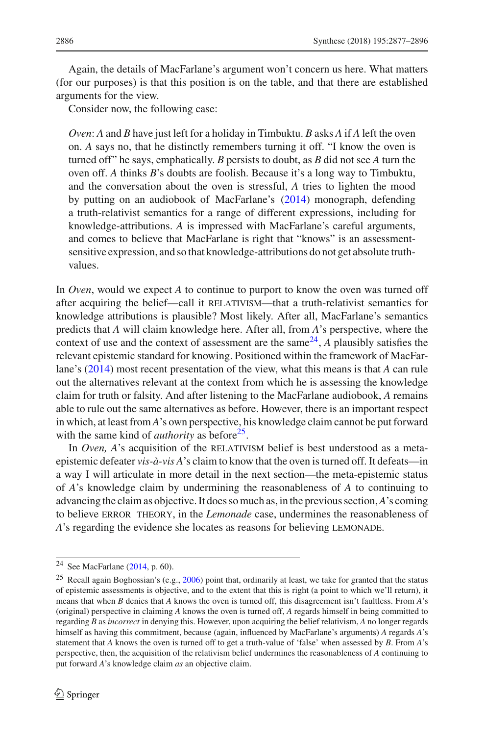Again, the details of MacFarlane's argument won't concern us here. What matters (for our purposes) is that this position is on the table, and that there are established arguments for the view.

Consider now, the following case:

*Oven*: *A* and *B* have just left for a holiday in Timbuktu. *B* asks *A* if *A* left the oven on. *A* says no, that he distinctly remembers turning it off. "I know the oven is turned off" he says, emphatically. *B* persists to doubt, as *B* did not see *A* turn the oven off. *A* thinks *B*'s doubts are foolish. Because it's a long way to Timbuktu, and the conversation about the oven is stressful, *A* tries to lighten the mood by putting on an audiobook of MacFarlane's [\(2014\)](#page-18-2) monograph, defending a truth-relativist semantics for a range of different expressions, including for knowledge-attributions. *A* is impressed with MacFarlane's careful arguments, and comes to believe that MacFarlane is right that "knows" is an assessmentsensitive expression, and so that knowledge-attributions do not get absolute truthvalues.

In *Oven*, would we expect *A* to continue to purport to know the oven was turned off after acquiring the belief—call it RELATIVISM—that a truth-relativist semantics for knowledge attributions is plausible? Most likely. After all, MacFarlane's semantics predicts that *A* will claim knowledge here. After all, from *A*'s perspective, where the context of use and the context of assessment are the same $^{24}$ , *A* plausibly satisfies the relevant epistemic standard for knowing. Positioned within the framework of MacFarlane's [\(2014\)](#page-18-2) most recent presentation of the view, what this means is that *A* can rule out the alternatives relevant at the context from which he is assessing the knowledge claim for truth or falsity. And after listening to the MacFarlane audiobook, *A* remains able to rule out the same alternatives as before. However, there is an important respect in which, at least from *A*'s own perspective, his knowledge claim cannot be put forward with the same kind of *authority* as before<sup>25</sup>.

In *Oven, A*'s acquisition of the RELATIVISM belief is best understood as a metaepistemic defeater *vis-à-vis A*'s claim to know that the oven is turned off. It defeats—in a way I will articulate in more detail in the next section—the meta-epistemic status of *A*'s knowledge claim by undermining the reasonableness of *A* to continuing to advancing the claim as objective. It does so much as, in the previous section,*A*'s coming to believe error theory, in the *Lemonade* case, undermines the reasonableness of *A*'s regarding the evidence she locates as reasons for believing LEMONADE.

<sup>24</sup> See MacFarlane [\(2014](#page-18-2), p. 60).

<span id="page-9-1"></span><span id="page-9-0"></span><sup>&</sup>lt;sup>25</sup> Recall again Boghossian's (e.g., [2006](#page-17-1)) point that, ordinarily at least, we take for granted that the status of epistemic assessments is objective, and to the extent that this is right (a point to which we'll return), it means that when *B* denies that *A* knows the oven is turned off, this disagreement isn't faultless. From *A*'s (original) perspective in claiming *A* knows the oven is turned off, *A* regards himself in being committed to regarding *B* as *incorrect* in denying this. However, upon acquiring the belief relativism, *A* no longer regards himself as having this commitment, because (again, influenced by MacFarlane's arguments) *A* regards *A*'s statement that *A* knows the oven is turned off to get a truth-value of 'false' when assessed by *B*. From *A*'s perspective, then, the acquisition of the relativism belief undermines the reasonableness of *A* continuing to put forward *A*'s knowledge claim *as* an objective claim.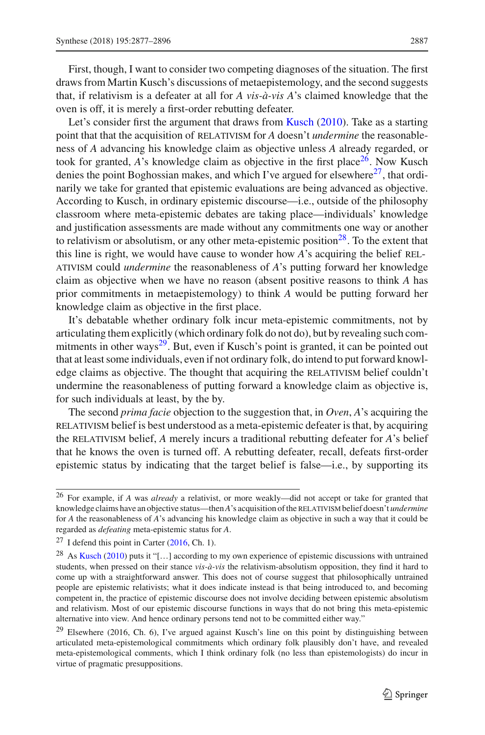First, though, I want to consider two competing diagnoses of the situation. The first draws from Martin Kusch's discussions of metaepistemology, and the second suggests that, if relativism is a defeater at all for *A vis-à-vis A*'s claimed knowledge that the oven is off, it is merely a first-order rebutting defeater.

Let's consider first the argument that draws from [Kusch](#page-18-10) [\(2010](#page-18-10)). Take as a starting point that that the acquisition of RELATIVISM for *A* doesn't *undermine* the reasonableness of *A* advancing his knowledge claim as objective unless *A* already regarded, or took for granted,  $A$ 's knowledge claim as objective in the first place<sup>26</sup>. Now Kusch denies the point Boghossian makes, and which I've argued for elsewhere<sup>27</sup>, that ordinarily we take for granted that epistemic evaluations are being advanced as objective. According to Kusch, in ordinary epistemic discourse—i.e., outside of the philosophy classroom where meta-epistemic debates are taking place—individuals' knowledge and justification assessments are made without any commitments one way or another to relativism or absolutism, or any other meta-epistemic position<sup>28</sup>. To the extent that this line is right, we would have cause to wonder how *A*'s acquiring the belief RELativism could *undermine* the reasonableness of *A*'s putting forward her knowledge claim as objective when we have no reason (absent positive reasons to think *A* has prior commitments in metaepistemology) to think *A* would be putting forward her knowledge claim as objective in the first place.

It's debatable whether ordinary folk incur meta-epistemic commitments, not by articulating them explicitly (which ordinary folk do not do), but by revealing such commitments in other ways $2^9$ . But, even if Kusch's point is granted, it can be pointed out that at least some individuals, even if not ordinary folk, do intend to put forward knowledge claims as objective. The thought that acquiring the RELATIVISM belief couldn't undermine the reasonableness of putting forward a knowledge claim as objective is, for such individuals at least, by the by.

The second *prima facie* objection to the suggestion that, in *Oven*, *A*'s acquiring the relativism belief is best understood as a meta-epistemic defeater is that, by acquiring the RELATIVISM belief, *A* merely incurs a traditional rebutting defeater for *A*'s belief that he knows the oven is turned off. A rebutting defeater, recall, defeats first-order epistemic status by indicating that the target belief is false—i.e., by supporting its

<span id="page-10-0"></span><sup>26</sup> For example, if *A* was *already* a relativist, or more weakly—did not accept or take for granted that knowledge claims have an objective status—then *A*'s acquisition of the RELATIVISM belief doesn't *undermine* for *A* the reasonableness of *A*'s advancing his knowledge claim as objective in such a way that it could be regarded as *defeating* meta-epistemic status for *A*.

 $27$  I defend this point in Carter [\(2016](#page-18-8), Ch. 1).

<span id="page-10-2"></span><span id="page-10-1"></span><sup>&</sup>lt;sup>28</sup> As [Kusch](#page-18-10) [\(2010\)](#page-18-10) puts it "[...] according to my own experience of epistemic discussions with untrained students, when pressed on their stance *vis-à-vis* the relativism-absolutism opposition, they find it hard to come up with a straightforward answer. This does not of course suggest that philosophically untrained people are epistemic relativists; what it does indicate instead is that being introduced to, and becoming competent in, the practice of epistemic discourse does not involve deciding between epistemic absolutism and relativism. Most of our epistemic discourse functions in ways that do not bring this meta-epistemic alternative into view. And hence ordinary persons tend not to be committed either way."

<span id="page-10-3"></span><sup>&</sup>lt;sup>29</sup> Elsewhere (2016, Ch. 6), I've argued against Kusch's line on this point by distinguishing between articulated meta-epistemological commitments which ordinary folk plausibly don't have, and revealed meta-epistemological comments, which I think ordinary folk (no less than epistemologists) do incur in virtue of pragmatic presuppositions.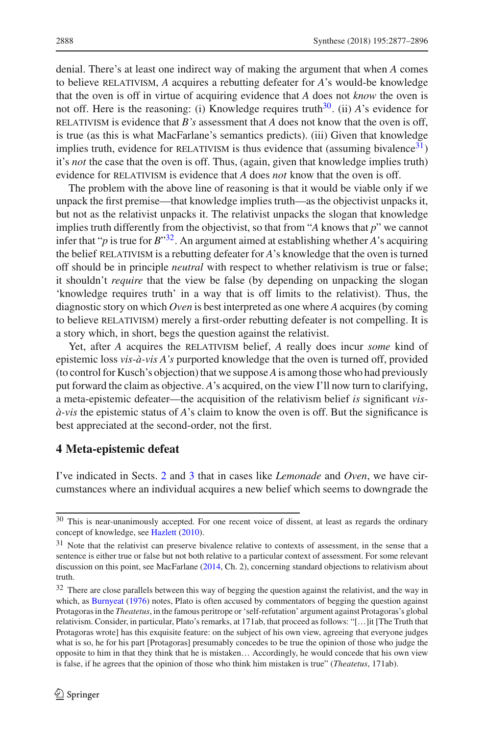denial. There's at least one indirect way of making the argument that when *A* comes to believe relativism, *A* acquires a rebutting defeater for *A*'s would-be knowledge that the oven is off in virtue of acquiring evidence that *A* does not *know* the oven is not off. Here is the reasoning: (i) Knowledge requires truth<sup>30</sup>. (ii) *A*'s evidence for relativism is evidence that *B's* assessment that *A* does not know that the oven is off, is true (as this is what MacFarlane's semantics predicts). (iii) Given that knowledge implies truth, evidence for RELATIVISM is thus evidence that (assuming bivalence $31$ ) it's *not* the case that the oven is off. Thus, (again, given that knowledge implies truth) evidence for RELATIVISM is evidence that *A* does *not* know that the oven is off.

The problem with the above line of reasoning is that it would be viable only if we unpack the first premise—that knowledge implies truth—as the objectivist unpacks it, but not as the relativist unpacks it. The relativist unpacks the slogan that knowledge implies truth differently from the objectivist, so that from "*A* knows that *p*" we cannot infer that "*p* is true for  $B^{\prime\prime}$ <sup>32</sup>. An argument aimed at establishing whether *A*'s acquiring the belief RELATIVISM is a rebutting defeater for *A*'s knowledge that the oven is turned off should be in principle *neutral* with respect to whether relativism is true or false; it shouldn't *require* that the view be false (by depending on unpacking the slogan 'knowledge requires truth' in a way that is off limits to the relativist). Thus, the diagnostic story on which *Oven* is best interpreted as one where *A* acquires (by coming to believe relativism) merely a first-order rebutting defeater is not compelling. It is a story which, in short, begs the question against the relativist.

Yet, after *A* acquires the RELATIVISM belief, *A* really does incur *some* kind of epistemic loss *vis-à-vis A's* purported knowledge that the oven is turned off, provided (to control for Kusch's objection) that we suppose*A*is among those who had previously put forward the claim as objective. *A*'s acquired, on the view I'll now turn to clarifying, a meta-epistemic defeater—the acquisition of the relativism belief *is* significant *visà-vis* the epistemic status of *A*'s claim to know the oven is off. But the significance is best appreciated at the second-order, not the first.

#### <span id="page-11-0"></span>**4 Meta-epistemic defeat**

I've indicated in Sects. [2](#page-2-1) and [3](#page-8-0) that in cases like *Lemonade* and *Oven*, we have circumstances where an individual acquires a new belief which seems to downgrade the

<span id="page-11-1"></span><sup>&</sup>lt;sup>30</sup> This is near-unanimously accepted. For one recent voice of dissent, at least as regards the ordinary concept of knowledge, see [Hazlett](#page-18-31) [\(2010\)](#page-18-31).

<span id="page-11-2"></span><sup>&</sup>lt;sup>31</sup> Note that the relativist can preserve bivalence relative to contexts of assessment, in the sense that a sentence is either true or false but not both relative to a particular context of assessment. For some relevant discussion on this point, see MacFarlane [\(2014](#page-18-2), Ch. 2), concerning standard objections to relativism about truth.

<span id="page-11-3"></span><sup>&</sup>lt;sup>32</sup> There are close parallels between this way of begging the question against the relativist, and the way in which, as [Burnyeat](#page-17-8) [\(1976\)](#page-17-8) notes, Plato is often accused by commentators of begging the question against Protagoras in the *Theatetus*, in the famous peritrope or 'self-refutation' argument against Protagoras's global relativism. Consider, in particular, Plato's remarks, at 171ab, that proceed as follows: "[…]it [The Truth that Protagoras wrote] has this exquisite feature: on the subject of his own view, agreeing that everyone judges what is so, he for his part [Protagoras] presumably concedes to be true the opinion of those who judge the opposite to him in that they think that he is mistaken… Accordingly, he would concede that his own view is false, if he agrees that the opinion of those who think him mistaken is true" (*Theatetus*, 171ab).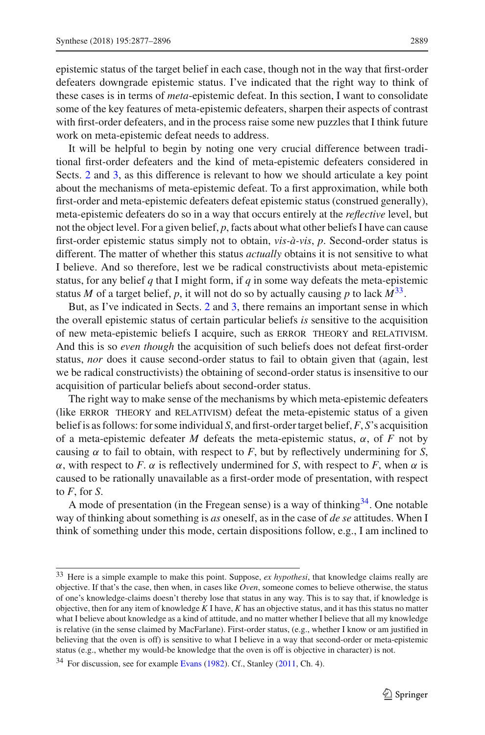epistemic status of the target belief in each case, though not in the way that first-order defeaters downgrade epistemic status. I've indicated that the right way to think of these cases is in terms of *meta*-epistemic defeat. In this section, I want to consolidate some of the key features of meta-epistemic defeaters, sharpen their aspects of contrast with first-order defeaters, and in the process raise some new puzzles that I think future work on meta-epistemic defeat needs to address.

It will be helpful to begin by noting one very crucial difference between traditional first-order defeaters and the kind of meta-epistemic defeaters considered in Sects. [2](#page-2-1) and [3,](#page-8-0) as this difference is relevant to how we should articulate a key point about the mechanisms of meta-epistemic defeat. To a first approximation, while both first-order and meta-epistemic defeaters defeat epistemic status (construed generally), meta-epistemic defeaters do so in a way that occurs entirely at the *reflective* level, but not the object level. For a given belief, *p*, facts about what other beliefs I have can cause first-order epistemic status simply not to obtain, *vis-à-vis*, *p*. Second-order status is different. The matter of whether this status *actually* obtains it is not sensitive to what I believe. And so therefore, lest we be radical constructivists about meta-epistemic status, for any belief *q* that I might form, if *q* in some way defeats the meta-epistemic status *M* of a target belief, *p*, it will not do so by actually causing *p* to lack  $M^{33}$  $M^{33}$  $M^{33}$ .

But, as I've indicated in Sects. [2](#page-2-1) and [3,](#page-8-0) there remains an important sense in which the overall epistemic status of certain particular beliefs *is* sensitive to the acquisition of new meta-epistemic beliefs I acquire, such as error theory and relativism. And this is so *even though* the acquisition of such beliefs does not defeat first-order status, *nor* does it cause second-order status to fail to obtain given that (again, lest we be radical constructivists) the obtaining of second-order status is insensitive to our acquisition of particular beliefs about second-order status.

The right way to make sense of the mechanisms by which meta-epistemic defeaters (like error theory and relativism) defeat the meta-epistemic status of a given belief is as follows: for some individual *S*, and first-order target belief,*F*, *S*'s acquisition of a meta-epistemic defeater *M* defeats the meta-epistemic status, α, of *F* not by causing  $\alpha$  to fail to obtain, with respect to *F*, but by reflectively undermining for *S*, α, with respect to *F*. α is reflectively undermined for *S*, with respect to *F*, when α is caused to be rationally unavailable as a first-order mode of presentation, with respect to *F*, for *S*.

A mode of presentation (in the Fregean sense) is a way of thinking  $34$ . One notable way of thinking about something is *as* oneself, as in the case of *de se* attitudes. When I think of something under this mode, certain dispositions follow, e.g., I am inclined to

<span id="page-12-0"></span><sup>33</sup> Here is a simple example to make this point. Suppose, *ex hypothesi*, that knowledge claims really are objective. If that's the case, then when, in cases like *Oven*, someone comes to believe otherwise, the status of one's knowledge-claims doesn't thereby lose that status in any way. This is to say that, if knowledge is objective, then for any item of knowledge *K* I have, *K* has an objective status, and it has this status no matter what I believe about knowledge as a kind of attitude, and no matter whether I believe that all my knowledge is relative (in the sense claimed by MacFarlane). First-order status, (e.g., whether I know or am justified in believing that the oven is off) is sensitive to what I believe in a way that second-order or meta-epistemic status (e.g., whether my would-be knowledge that the oven is off is objective in character) is not.

<span id="page-12-1"></span><sup>&</sup>lt;sup>34</sup> For discussion, see for example [Evans](#page-18-32) [\(1982](#page-18-32)). Cf., Stanley [\(2011](#page-19-6), Ch. 4).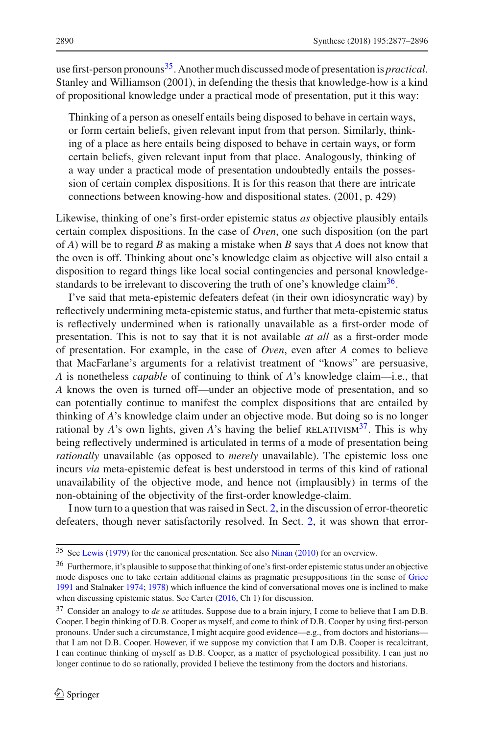use first-person pronouns[35](#page-13-0). Another much discussed mode of presentation is *practical*. Stanley and Williamson (2001), in defending the thesis that knowledge-how is a kind of propositional knowledge under a practical mode of presentation, put it this way:

Thinking of a person as oneself entails being disposed to behave in certain ways, or form certain beliefs, given relevant input from that person. Similarly, thinking of a place as here entails being disposed to behave in certain ways, or form certain beliefs, given relevant input from that place. Analogously, thinking of a way under a practical mode of presentation undoubtedly entails the possession of certain complex dispositions. It is for this reason that there are intricate connections between knowing-how and dispositional states. (2001, p. 429)

Likewise, thinking of one's first-order epistemic status *as* objective plausibly entails certain complex dispositions. In the case of *Oven*, one such disposition (on the part of *A*) will be to regard *B* as making a mistake when *B* says that *A* does not know that the oven is off. Thinking about one's knowledge claim as objective will also entail a disposition to regard things like local social contingencies and personal knowledgestandards to be irrelevant to discovering the truth of one's knowledge claim<sup>36</sup>.

I've said that meta-epistemic defeaters defeat (in their own idiosyncratic way) by reflectively undermining meta-epistemic status, and further that meta-epistemic status is reflectively undermined when is rationally unavailable as a first-order mode of presentation. This is not to say that it is not available *at all* as a first-order mode of presentation. For example, in the case of *Oven*, even after *A* comes to believe that MacFarlane's arguments for a relativist treatment of "knows" are persuasive, *A* is nonetheless *capable* of continuing to think of *A*'s knowledge claim—i.e., that *A* knows the oven is turned off—under an objective mode of presentation, and so can potentially continue to manifest the complex dispositions that are entailed by thinking of *A*'s knowledge claim under an objective mode. But doing so is no longer rational by *A*'s own lights, given *A*'s having the belief RELATIVISM<sup>37</sup>. This is why being reflectively undermined is articulated in terms of a mode of presentation being *rationally* unavailable (as opposed to *merely* unavailable). The epistemic loss one incurs *via* meta-epistemic defeat is best understood in terms of this kind of rational unavailability of the objective mode, and hence not (implausibly) in terms of the non-obtaining of the objectivity of the first-order knowledge-claim.

I now turn to a question that was raised in Sect. [2,](#page-2-1) in the discussion of error-theoretic defeaters, though never satisfactorily resolved. In Sect. [2,](#page-2-1) it was shown that error-

<sup>35</sup> See [Lewis](#page-18-33) [\(1979](#page-18-33)) for the canonical presentation. See also [Ninan](#page-18-34) [\(2010](#page-18-34)) for an overview.

<span id="page-13-1"></span><span id="page-13-0"></span><sup>&</sup>lt;sup>36</sup> Furthermore, it's plausible to suppose that thinking of one's first-order epistemic status under an objective mode disposes one to take certain additional claims as pragmatic presuppositions (in the sense of [Grice](#page-18-35) [1991](#page-18-35) and Stalnaker [1974](#page-19-7); [1978](#page-19-8)) which influence the kind of conversational moves one is inclined to make when discussing epistemic status. See Carter [\(2016,](#page-18-8) Ch 1) for discussion.

<span id="page-13-2"></span><sup>37</sup> Consider an analogy to *de se* attitudes. Suppose due to a brain injury, I come to believe that I am D.B. Cooper. I begin thinking of D.B. Cooper as myself, and come to think of D.B. Cooper by using first-person pronouns. Under such a circumstance, I might acquire good evidence—e.g., from doctors and historians that I am not D.B. Cooper. However, if we suppose my conviction that I am D.B. Cooper is recalcitrant, I can continue thinking of myself as D.B. Cooper, as a matter of psychological possibility. I can just no longer continue to do so rationally, provided I believe the testimony from the doctors and historians.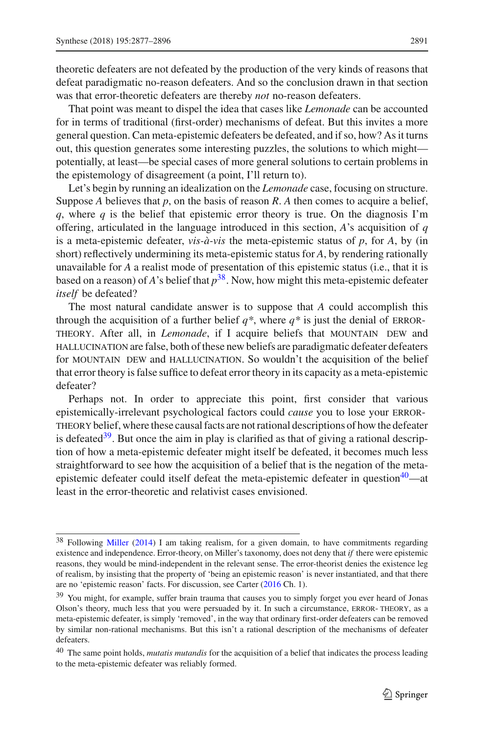theoretic defeaters are not defeated by the production of the very kinds of reasons that defeat paradigmatic no-reason defeaters. And so the conclusion drawn in that section was that error-theoretic defeaters are thereby *not* no-reason defeaters.

That point was meant to dispel the idea that cases like *Lemonade* can be accounted for in terms of traditional (first-order) mechanisms of defeat. But this invites a more general question. Can meta-epistemic defeaters be defeated, and if so, how? As it turns out, this question generates some interesting puzzles, the solutions to which might potentially, at least—be special cases of more general solutions to certain problems in the epistemology of disagreement (a point, I'll return to).

Let's begin by running an idealization on the *Lemonade* case, focusing on structure. Suppose *A* believes that *p*, on the basis of reason *R*. *A* then comes to acquire a belief,  $q$ , where  $q$  is the belief that epistemic error theory is true. On the diagnosis I'm offering, articulated in the language introduced in this section, *A*'s acquisition of *q* is a meta-epistemic defeater, *vis-à-vis* the meta-epistemic status of  $p$ , for  $A$ , by (in short) reflectively undermining its meta-epistemic status for *A*, by rendering rationally unavailable for *A* a realist mode of presentation of this epistemic status (i.e., that it is based on a reason) of *A*'s belief that  $p^{38}$ . Now, how might this meta-epistemic defeater *itself* be defeated?

The most natural candidate answer is to suppose that *A* could accomplish this through the acquisition of a further belief  $q^*$ , where  $q^*$  is just the denial of ERROR-THEORY. After all, in *Lemonade*, if I acquire beliefs that MOUNTAIN DEW and hallucination are false, both of these new beliefs are paradigmatic defeater defeaters for MOUNTAIN DEW and HALLUCINATION. So wouldn't the acquisition of the belief that error theory is false suffice to defeat error theory in its capacity as a meta-epistemic defeater?

Perhaps not. In order to appreciate this point, first consider that various epistemically-irrelevant psychological factors could *cause* you to lose your errortheorybelief, where these causal facts are not rational descriptions of how the defeater is defeated $39$ . But once the aim in play is clarified as that of giving a rational description of how a meta-epistemic defeater might itself be defeated, it becomes much less straightforward to see how the acquisition of a belief that is the negation of the metaepistemic defeater could itself defeat the meta-epistemic defeater in question<sup>40</sup>—at least in the error-theoretic and relativist cases envisioned.

<span id="page-14-0"></span><sup>38</sup> Following [Miller](#page-18-15) [\(2014](#page-18-15)) I am taking realism, for a given domain, to have commitments regarding existence and independence. Error-theory, on Miller's taxonomy, does not deny that *if* there were epistemic reasons, they would be mind-independent in the relevant sense. The error-theorist denies the existence leg of realism, by insisting that the property of 'being an epistemic reason' is never instantiated, and that there are no 'epistemic reason' facts. For discussion, see Carter [\(2016](#page-18-8) Ch. 1).

<span id="page-14-1"></span><sup>&</sup>lt;sup>39</sup> You might, for example, suffer brain trauma that causes you to simply forget you ever heard of Jonas Olson's theory, much less that you were persuaded by it. In such a circumstance, ERROR-THEORY, as a meta-epistemic defeater, is simply 'removed', in the way that ordinary first-order defeaters can be removed by similar non-rational mechanisms. But this isn't a rational description of the mechanisms of defeater defeaters.

<span id="page-14-2"></span><sup>40</sup> The same point holds, *mutatis mutandis* for the acquisition of a belief that indicates the process leading to the meta-epistemic defeater was reliably formed.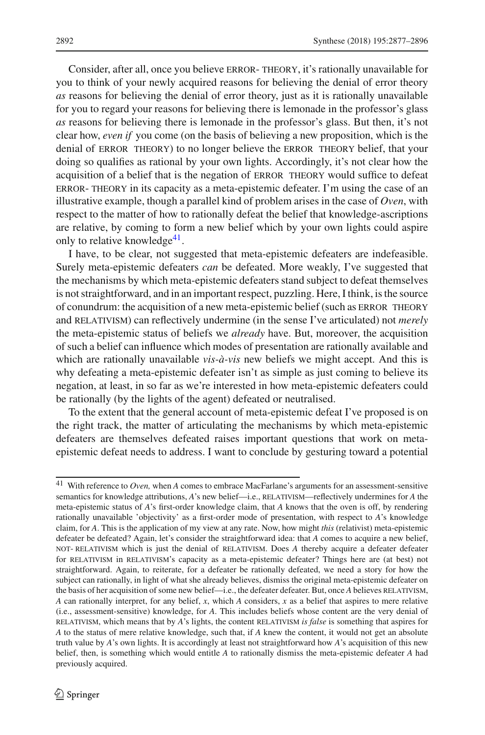Consider, after all, once you believe error- theory, it's rationally unavailable for you to think of your newly acquired reasons for believing the denial of error theory *as* reasons for believing the denial of error theory, just as it is rationally unavailable for you to regard your reasons for believing there is lemonade in the professor's glass *as* reasons for believing there is lemonade in the professor's glass. But then, it's not clear how, *even if* you come (on the basis of believing a new proposition, which is the denial of ERROR THEORY) to no longer believe the ERROR THEORY belief, that your doing so qualifies as rational by your own lights. Accordingly, it's not clear how the acquisition of a belief that is the negation of error theory would suffice to defeat error- theory in its capacity as a meta-epistemic defeater. I'm using the case of an illustrative example, though a parallel kind of problem arises in the case of *Oven*, with respect to the matter of how to rationally defeat the belief that knowledge-ascriptions are relative, by coming to form a new belief which by your own lights could aspire only to relative knowledge $41$ .

I have, to be clear, not suggested that meta-epistemic defeaters are indefeasible. Surely meta-epistemic defeaters *can* be defeated. More weakly, I've suggested that the mechanisms by which meta-epistemic defeaters stand subject to defeat themselves is not straightforward, and in an important respect, puzzling. Here, I think, is the source of conundrum: the acquisition of a new meta-epistemic belief (such as ERROR THEORY and RELATIVISM) can reflectively undermine (in the sense I've articulated) not *merely* the meta-epistemic status of beliefs we *already* have. But, moreover, the acquisition of such a belief can influence which modes of presentation are rationally available and which are rationally unavailable *vis-à-vis* new beliefs we might accept. And this is why defeating a meta-epistemic defeater isn't as simple as just coming to believe its negation, at least, in so far as we're interested in how meta-epistemic defeaters could be rationally (by the lights of the agent) defeated or neutralised.

To the extent that the general account of meta-epistemic defeat I've proposed is on the right track, the matter of articulating the mechanisms by which meta-epistemic defeaters are themselves defeated raises important questions that work on metaepistemic defeat needs to address. I want to conclude by gesturing toward a potential

<span id="page-15-0"></span><sup>41</sup> With reference to *Oven,* when *A* comes to embrace MacFarlane's arguments for an assessment-sensitive semantics for knowledge attributions, *A*'s new belief—i.e., RELATIVISM—reflectively undermines for *A* the meta-epistemic status of *A*'s first-order knowledge claim, that *A* knows that the oven is off, by rendering rationally unavailable 'objectivity' as a first-order mode of presentation, with respect to *A*'s knowledge claim, for *A*. This is the application of my view at any rate. Now, how might *this* (relativist) meta-epistemic defeater be defeated? Again, let's consider the straightforward idea: that *A* comes to acquire a new belief, not- relativism which is just the denial of relativism. Does *A* thereby acquire a defeater defeater for relativism in relativism's capacity as a meta-epistemic defeater? Things here are (at best) not straightforward. Again, to reiterate, for a defeater be rationally defeated, we need a story for how the subject can rationally, in light of what she already believes, dismiss the original meta-epistemic defeater on the basis of her acquisition of some new belief—i.e., the defeater defeater. But, once *A* believes RELATIVISM, *A* can rationally interpret, for any belief, *x*, which *A* considers, *x* as a belief that aspires to mere relative (i.e., assessment-sensitive) knowledge, for *A*. This includes beliefs whose content are the very denial of relativism, which means that by *A*'s lights, the content relativism *is false* is something that aspires for *A* to the status of mere relative knowledge, such that, if *A* knew the content, it would not get an absolute truth value by *A*'s own lights. It is accordingly at least not straightforward how *A*'s acquisition of this new belief, then, is something which would entitle *A* to rationally dismiss the meta-epistemic defeater *A* had previously acquired.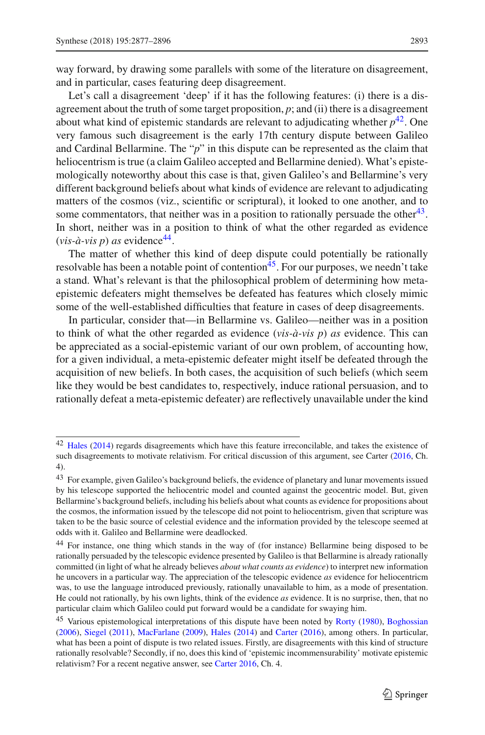way forward, by drawing some parallels with some of the literature on disagreement, and in particular, cases featuring deep disagreement.

Let's call a disagreement 'deep' if it has the following features: (i) there is a disagreement about the truth of some target proposition,  $p$ ; and (ii) there is a disagreement about what kind of epistemic standards are relevant to adjudicating whether  $p^{42}$ . One very famous such disagreement is the early 17th century dispute between Galileo and Cardinal Bellarmine. The "*p*" in this dispute can be represented as the claim that heliocentrism is true (a claim Galileo accepted and Bellarmine denied). What's epistemologically noteworthy about this case is that, given Galileo's and Bellarmine's very different background beliefs about what kinds of evidence are relevant to adjudicating matters of the cosmos (viz., scientific or scriptural), it looked to one another, and to some commentators, that neither was in a position to rationally persuade the other<sup>43</sup>. In short, neither was in a position to think of what the other regarded as evidence  $(vis-\hat{a}-vis\ p)$  *as* evidence<sup>44</sup>.

The matter of whether this kind of deep dispute could potentially be rationally resolvable has been a notable point of contention<sup>45</sup>. For our purposes, we needn't take a stand. What's relevant is that the philosophical problem of determining how metaepistemic defeaters might themselves be defeated has features which closely mimic some of the well-established difficulties that feature in cases of deep disagreements.

In particular, consider that—in Bellarmine vs. Galileo—neither was in a position to think of what the other regarded as evidence (*vis-à-vis p*) *as* evidence. This can be appreciated as a social-epistemic variant of our own problem, of accounting how, for a given individual, a meta-epistemic defeater might itself be defeated through the acquisition of new beliefs. In both cases, the acquisition of such beliefs (which seem like they would be best candidates to, respectively, induce rational persuasion, and to rationally defeat a meta-epistemic defeater) are reflectively unavailable under the kind

<span id="page-16-0"></span><sup>42</sup> [Hales](#page-18-36) [\(2014](#page-18-36)) regards disagreements which have this feature irreconcilable, and takes the existence of such disagreements to motivate relativism. For critical discussion of this argument, see Carter [\(2016,](#page-18-8) Ch. 4).

<span id="page-16-1"></span><sup>&</sup>lt;sup>43</sup> For example, given Galileo's background beliefs, the evidence of planetary and lunar movements issued by his telescope supported the heliocentric model and counted against the geocentric model. But, given Bellarmine's background beliefs, including his beliefs about what counts as evidence for propositions about the cosmos, the information issued by the telescope did not point to heliocentrism, given that scripture was taken to be the basic source of celestial evidence and the information provided by the telescope seemed at odds with it. Galileo and Bellarmine were deadlocked.

<span id="page-16-2"></span><sup>44</sup> For instance, one thing which stands in the way of (for instance) Bellarmine being disposed to be rationally persuaded by the telescopic evidence presented by Galileo is that Bellarmine is already rationally committed (in light of what he already believes *about what counts as evidence*) to interpret new information he uncovers in a particular way. The appreciation of the telescopic evidence *as* evidence for heliocentricm was, to use the language introduced previously, rationally unavailable to him, as a mode of presentation. He could not rationally, by his own lights, think of the evidence *as* evidence. It is no surprise, then, that no particular claim which Galileo could put forward would be a candidate for swaying him.

<span id="page-16-3"></span><sup>&</sup>lt;sup>45</sup> Various epistemological interpretations of this dispute have been noted by [Rorty](#page-18-11) [\(1980\)](#page-18-11), [Boghossian](#page-17-1) [\(2006](#page-17-1)), [Siegel](#page-18-37) [\(2011\)](#page-18-37), [MacFarlane](#page-18-26) [\(2009\)](#page-18-26), [Hales](#page-18-36) [\(2014\)](#page-18-36) and [Carter](#page-18-8) [\(2016](#page-18-8)), among others. In particular, what has been a point of dispute is two related issues. Firstly, are disagreements with this kind of structure rationally resolvable? Secondly, if no, does this kind of 'epistemic incommensurability' motivate epistemic relativism? For a recent negative answer, see [Carter 2016,](#page-18-8) Ch. 4.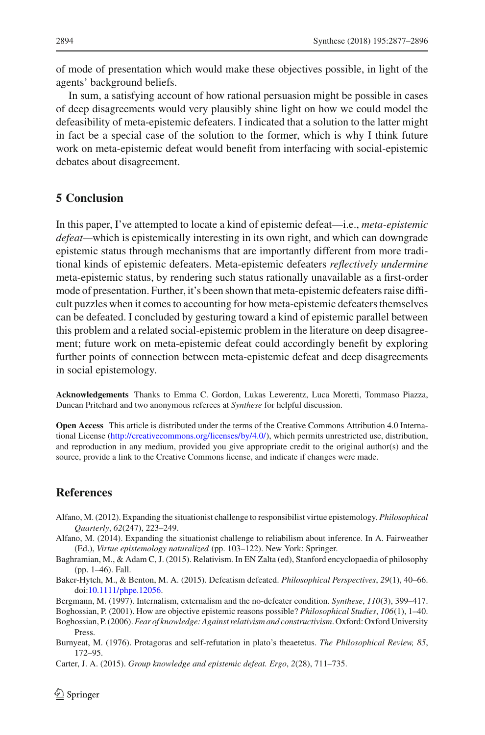of mode of presentation which would make these objectives possible, in light of the agents' background beliefs.

In sum, a satisfying account of how rational persuasion might be possible in cases of deep disagreements would very plausibly shine light on how we could model the defeasibility of meta-epistemic defeaters. I indicated that a solution to the latter might in fact be a special case of the solution to the former, which is why I think future work on meta-epistemic defeat would benefit from interfacing with social-epistemic debates about disagreement.

### **5 Conclusion**

In this paper, I've attempted to locate a kind of epistemic defeat—i.e., *meta-epistemic defeat—*which is epistemically interesting in its own right, and which can downgrade epistemic status through mechanisms that are importantly different from more traditional kinds of epistemic defeaters. Meta-epistemic defeaters *reflectively undermine* meta-epistemic status, by rendering such status rationally unavailable as a first-order mode of presentation. Further, it's been shown that meta-epistemic defeaters raise difficult puzzles when it comes to accounting for how meta-epistemic defeaters themselves can be defeated. I concluded by gesturing toward a kind of epistemic parallel between this problem and a related social-epistemic problem in the literature on deep disagreement; future work on meta-epistemic defeat could accordingly benefit by exploring further points of connection between meta-epistemic defeat and deep disagreements in social epistemology.

**Acknowledgements** Thanks to Emma C. Gordon, Lukas Lewerentz, Luca Moretti, Tommaso Piazza, Duncan Pritchard and two anonymous referees at *Synthese* for helpful discussion.

**Open Access** This article is distributed under the terms of the Creative Commons Attribution 4.0 International License [\(http://creativecommons.org/licenses/by/4.0/\)](http://creativecommons.org/licenses/by/4.0/), which permits unrestricted use, distribution, and reproduction in any medium, provided you give appropriate credit to the original author(s) and the source, provide a link to the Creative Commons license, and indicate if changes were made.

#### **References**

- <span id="page-17-5"></span>Alfano, M. (2012). Expanding the situationist challenge to responsibilist virtue epistemology. *Philosophical Quarterly*, *62*(247), 223–249.
- <span id="page-17-6"></span>Alfano, M. (2014). Expanding the situationist challenge to reliabilism about inference. In A. Fairweather (Ed.), *Virtue epistemology naturalized* (pp. 103–122). New York: Springer.
- <span id="page-17-7"></span>Baghramian, M., & Adam C, J. (2015). Relativism. In EN Zalta (ed), Stanford encyclopaedia of philosophy (pp. 1–46). Fall.
- <span id="page-17-3"></span>Baker-Hytch, M., & Benton, M. A. (2015). Defeatism defeated. *Philosophical Perspectives*, *29*(1), 40–66. doi[:10.1111/phpe.12056.](http://dx.doi.org/10.1111/phpe.12056)
- <span id="page-17-4"></span>Bergmann, M. (1997). Internalism, externalism and the no-defeater condition. *Synthese*, *110*(3), 399–417.

<span id="page-17-0"></span>Boghossian, P. (2001). How are objective epistemic reasons possible? *Philosophical Studies*, *106*(1), 1–40.

- <span id="page-17-1"></span>Boghossian, P. (2006).*Fear of knowledge: Against relativism and constructivism*. Oxford: Oxford University Press.
- <span id="page-17-8"></span>Burnyeat, M. (1976). Protagoras and self-refutation in plato's theaetetus. *The Philosophical Review, 85*, 172–95.

<span id="page-17-2"></span>Carter, J. A. (2015). *Group knowledge and epistemic defeat. Ergo*, *2*(28), 711–735.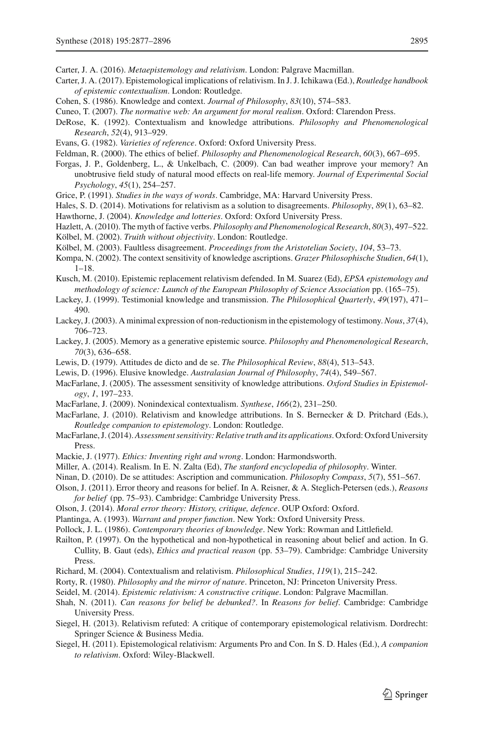- <span id="page-18-8"></span>Carter, J. A. (2017). Epistemological implications of relativism. In J. J. Ichikawa (Ed.), *Routledge handbook of epistemic contextualism*. London: Routledge.
- <span id="page-18-27"></span><span id="page-18-9"></span>Cohen, S. (1986). Knowledge and context. *Journal of Philosophy*, *83*(10), 574–583.
- Cuneo, T. (2007). *The normative web: An argument for moral realism*. Oxford: Clarendon Press.
- <span id="page-18-28"></span>DeRose, K. (1992). Contextualism and knowledge attributions. *Philosophy and Phenomenological Research*, *52*(4), 913–929.
- <span id="page-18-32"></span>Evans, G. (1982). *Varieties of reference*. Oxford: Oxford University Press.
- <span id="page-18-16"></span>Feldman, R. (2000). The ethics of belief. *Philosophy and Phenomenological Research*, *60*(3), 667–695.
- <span id="page-18-20"></span>Forgas, J. P., Goldenberg, L., & Unkelbach, C. (2009). Can bad weather improve your memory? An unobtrusive field study of natural mood effects on real-life memory. *Journal of Experimental Social Psychology*, *45*(1), 254–257.
- <span id="page-18-35"></span>Grice, P. (1991). *Studies in the ways of words*. Cambridge, MA: Harvard University Press.
- <span id="page-18-36"></span>Hales, S. D. (2014). Motivations for relativism as a solution to disagreements. *Philosophy*, *89*(1), 63–82.
- <span id="page-18-30"></span>Hawthorne, J. (2004). *Knowledge and lotteries*. Oxford: Oxford University Press.
- <span id="page-18-31"></span>Hazlett, A. (2010). The myth of factive verbs. *Philosophy and Phenomenological Research*, *80*(3), 497–522. Kölbel, M. (2002). *Truith without objectivity*. London: Routledge.
- <span id="page-18-23"></span><span id="page-18-22"></span>Kölbel, M. (2003). Faultless disagreement. *Proceedings from the Aristotelian Society*, *104*, 53–73.
- <span id="page-18-25"></span>Kompa, N. (2002). The context sensitivity of knowledge ascriptions. *Grazer Philosophische Studien*, *64*(1), 1–18.
- <span id="page-18-10"></span>Kusch, M. (2010). Epistemic replacement relativism defended. In M. Suarez (Ed), *EPSA epistemology and methodology of science: Launch of the European Philosophy of Science Association* pp. (165–75).
- <span id="page-18-4"></span>Lackey, J. (1999). Testimonial knowledge and transmission. *The Philosophical Quarterly*, *49*(197), 471– 490.
- <span id="page-18-19"></span>Lackey, J. (2003). A minimal expression of non-reductionism in the epistemology of testimony. *Nous*, *37*(4), 706–723.
- <span id="page-18-5"></span>Lackey, J. (2005). Memory as a generative epistemic source. *Philosophy and Phenomenological Research*, *70*(3), 636–658.
- <span id="page-18-33"></span><span id="page-18-29"></span>Lewis, D. (1979). Attitudes de dicto and de se. *The Philosophical Review*, *88*(4), 513–543.
- Lewis, D. (1996). Elusive knowledge. *Australasian Journal of Philosophy*, *74*(4), 549–567.
- <span id="page-18-1"></span>MacFarlane, J. (2005). The assessment sensitivity of knowledge attributions. *Oxford Studies in Epistemology*, *1*, 197–233.
- <span id="page-18-26"></span>MacFarlane, J. (2009). Nonindexical contextualism. *Synthese*, *166*(2), 231–250.
- <span id="page-18-21"></span>MacFarlane, J. (2010). Relativism and knowledge attributions. In S. Bernecker & D. Pritchard (Eds.), *Routledge companion to epistemology*. London: Routledge.
- <span id="page-18-2"></span>MacFarlane, J. (2014).*Assessment sensitivity: Relative truth and its applications*. Oxford: Oxford University Press.
- <span id="page-18-12"></span>Mackie, J. (1977). *Ethics: Inventing right and wrong*. London: Harmondsworth.
- <span id="page-18-15"></span>Miller, A. (2014). Realism. In E. N. Zalta (Ed), *The stanford encyclopedia of philosophy*. Winter.
- <span id="page-18-34"></span>Ninan, D. (2010). De se attitudes: Ascription and communication. *Philosophy Compass*, *5*(7), 551–567.
- <span id="page-18-0"></span>Olson, J. (2011). Error theory and reasons for belief. In A. Reisner, & A. Steglich-Petersen (eds.), *Reasons for belief* (pp. 75–93). Cambridge: Cambridge University Press.
- <span id="page-18-14"></span>Olson, J. (2014). *Moral error theory: History, critique, defence*. OUP Oxford: Oxford.
- <span id="page-18-18"></span>Plantinga, A. (1993). *Warrant and proper function*. New York: Oxford University Press.
- <span id="page-18-3"></span>Pollock, J. L. (1986). *Contemporary theories of knowledge*. New York: Rowman and Littlefield.
- <span id="page-18-17"></span>Railton, P. (1997). On the hypothetical and non-hypothetical in reasoning about belief and action. In G. Cullity, B. Gaut (eds), *Ethics and practical reason* (pp. 53–79). Cambridge: Cambridge University Press.
- <span id="page-18-24"></span>Richard, M. (2004). Contextualism and relativism. *Philosophical Studies*, *119*(1), 215–242.
- <span id="page-18-11"></span>Rorty, R. (1980). *Philosophy and the mirror of nature*. Princeton, NJ: Princeton University Press.
- <span id="page-18-7"></span>Seidel, M. (2014). *Epistemic relativism: A constructive critique*. London: Palgrave Macmillan.
- <span id="page-18-13"></span>Shah, N. (2011). *Can reasons for belief be debunked?*. In *Reasons for belief*. Cambridge: Cambridge University Press.
- <span id="page-18-6"></span>Siegel, H. (2013). Relativism refuted: A critique of contemporary epistemological relativism. Dordrecht: Springer Science & Business Media.
- <span id="page-18-37"></span>Siegel, H. (2011). Epistemological relativism: Arguments Pro and Con. In S. D. Hales (Ed.), *A companion to relativism*. Oxford: Wiley-Blackwell.